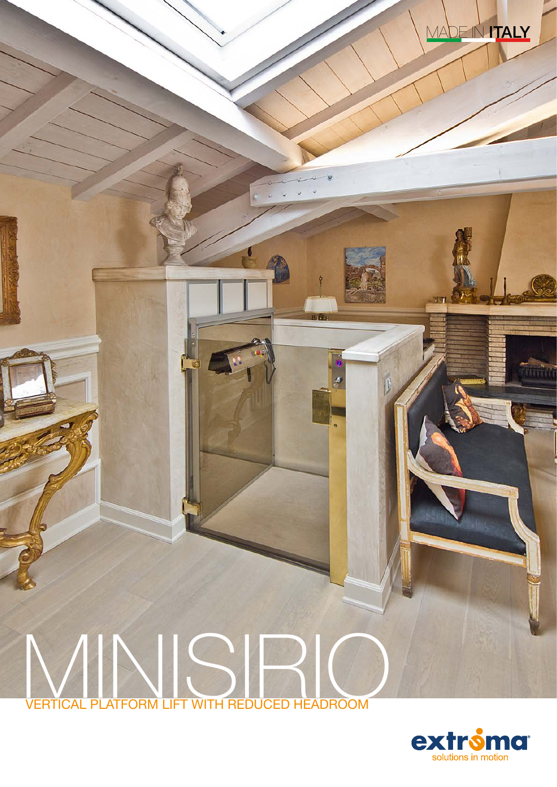# MINISIRIO VERTICAL PLATFORM LIFT WITH REDUCED HEADROOM



 $\mathbb{R}$ 

MADE IN **ITALY**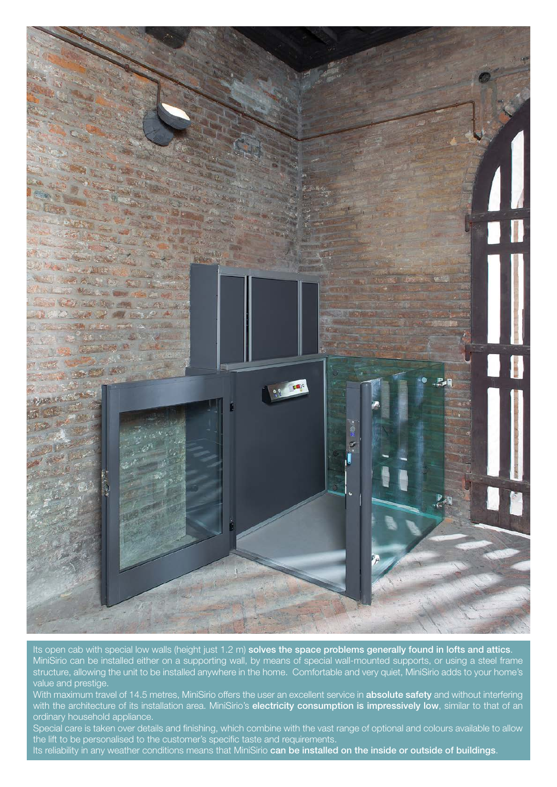

Its open cab with special low walls (height just 1.2 m) solves the space problems generally found in lofts and attics. MiniSirio can be installed either on a supporting wall, by means of special wall-mounted supports, or using a steel frame structure, allowing the unit to be installed anywhere in the home. Comfortable and very quiet, MiniSirio adds to your home's value and prestige.

With maximum travel of 14.5 metres, MiniSirio offers the user an excellent service in absolute safety and without interfering with the architecture of its installation area. MiniSirio's electricity consumption is impressively low, similar to that of an ordinary household appliance.

Special care is taken over details and finishing, which combine with the vast range of optional and colours available to allow the lift to be personalised to the customer's specific taste and requirements.

Its reliability in any weather conditions means that MiniSirio can be installed on the inside or outside of buildings.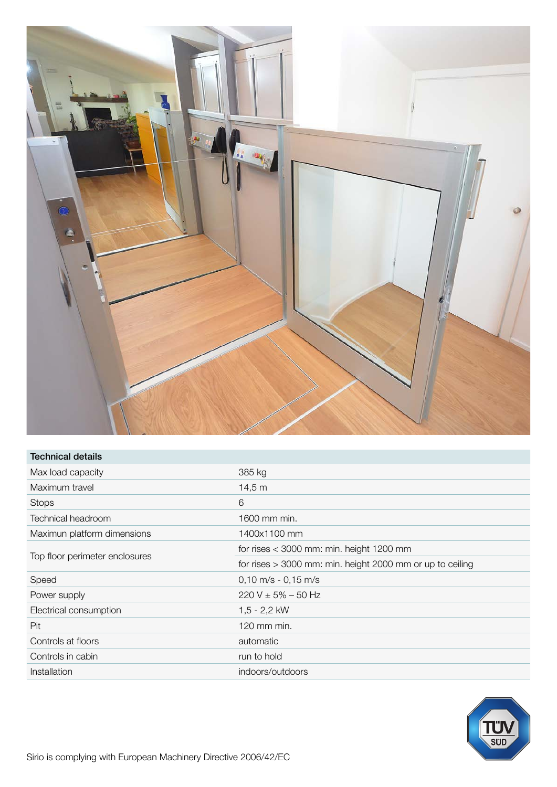![](_page_2_Picture_0.jpeg)

| Technical details              |                                                             |
|--------------------------------|-------------------------------------------------------------|
| Max load capacity              | 385 kg                                                      |
| Maximum travel                 | 14,5 m                                                      |
| <b>Stops</b>                   | 6                                                           |
| Technical headroom             | 1600 mm min.                                                |
| Maximun platform dimensions    | 1400x1100 mm                                                |
| Top floor perimeter enclosures | for rises $<$ 3000 mm: min. height 1200 mm                  |
|                                | for rises $>$ 3000 mm: min. height 2000 mm or up to ceiling |
| Speed                          | $0,10 \text{ m/s} - 0,15 \text{ m/s}$                       |
| Power supply                   | $220 V \pm 5\% - 50 Hz$                                     |
| Electrical consumption         | $1,5 - 2,2$ kW                                              |
| Pit                            | 120 mm min.                                                 |
| Controls at floors             | automatic                                                   |
| Controls in cabin              | run to hold                                                 |
| Installation                   | indoors/outdoors                                            |

![](_page_2_Picture_2.jpeg)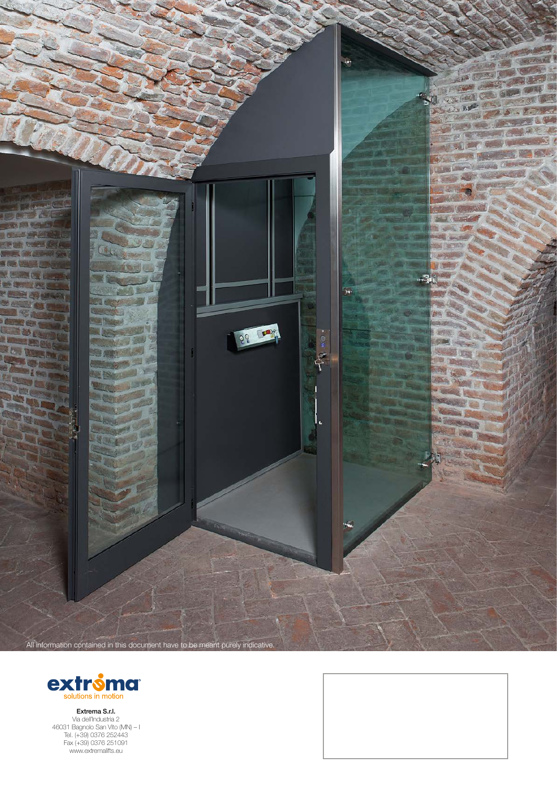![](_page_3_Picture_0.jpeg)

![](_page_3_Picture_1.jpeg)

Extrema S.r.l. Via dell'Industria 2 46031 Bagnolo San Vito (MN) – I Tel. (+39) 0376 252443 Fax (+39) 0376 251091 www.extremalifts.eu

![](_page_3_Picture_3.jpeg)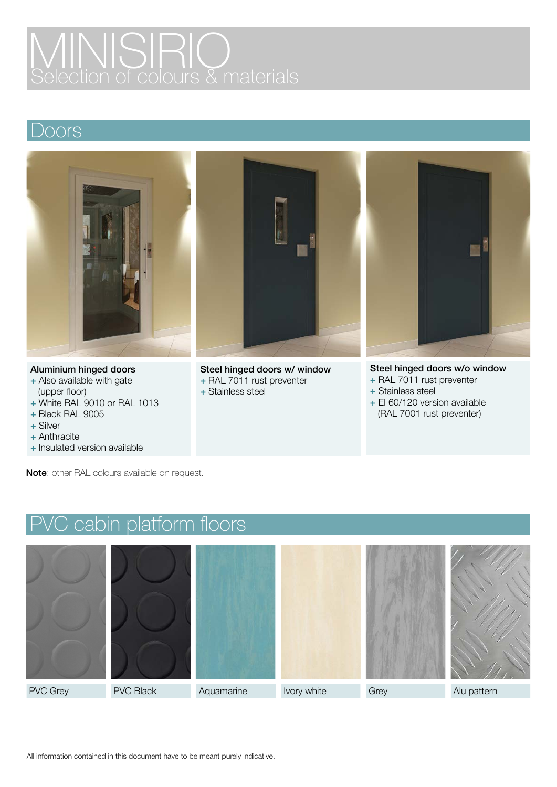# MINISIRIO Selection of colours & materials

### Doors

![](_page_4_Picture_2.jpeg)

#### Aluminium hinged doors

- + Also available with gate (upper floor)
- + White RAL 9010 or RAL 1013
- + Black RAL 9005
- + Silver
- + Anthracite
- + Insulated version available

![](_page_4_Picture_10.jpeg)

Steel hinged doors w/ window + RAL 7011 rust preventer

- 
- + Stainless steel

![](_page_4_Picture_14.jpeg)

#### Steel hinged doors w/o window

- + RAL 7011 rust preventer
- + Stainless steel
- + EI 60/120 version available (RAL 7001 rust preventer)

Note: other RAL colours available on request.

![](_page_4_Figure_20.jpeg)